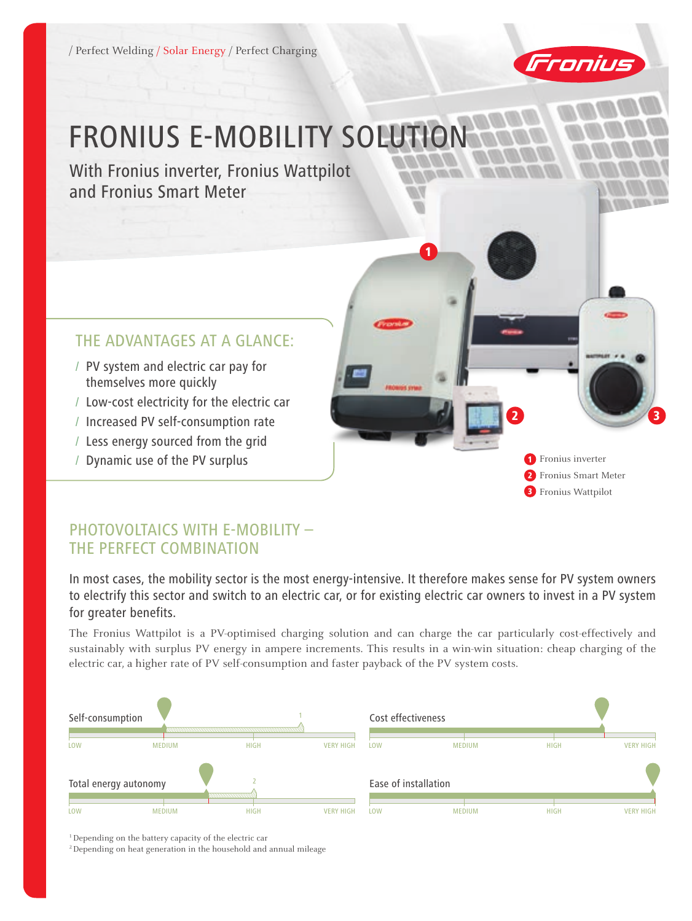/ Perfect Welding / Solar Energy / Perfect Charging



2 3

1 Fronius inverter 2 Fronius Smart Meter **3** Fronius Wattpilot

# FRONIUS E-MOBILITY SOLUTION

With Fronius inverter, Fronius Wattpilot and Fronius Smart Meter

#### THE ADVANTAGES AT A GLANCE:

- / PV system and electric car pay for themselves more quickly
- / Low-cost electricity for the electric car
- / Increased PV self-consumption rate
- / Less energy sourced from the grid
- / Dynamic use of the PV surplus

#### PHOTOVOLTAICS WITH E-MOBILITY – THE PERFECT COMBINATION

In most cases, the mobility sector is the most energy-intensive. It therefore makes sense for PV system owners to electrify this sector and switch to an electric car, or for existing electric car owners to invest in a PV system for greater benefits.

1

The Fronius Wattpilot is a PV-optimised charging solution and can charge the car particularly cost-effectively and sustainably with surplus PV energy in ampere increments. This results in a win-win situation: cheap charging of the electric car, a higher rate of PV self-consumption and faster payback of the PV system costs.



1Depending on the battery capacity of the electric car

<sup>2</sup> Depending on heat generation in the household and annual mileage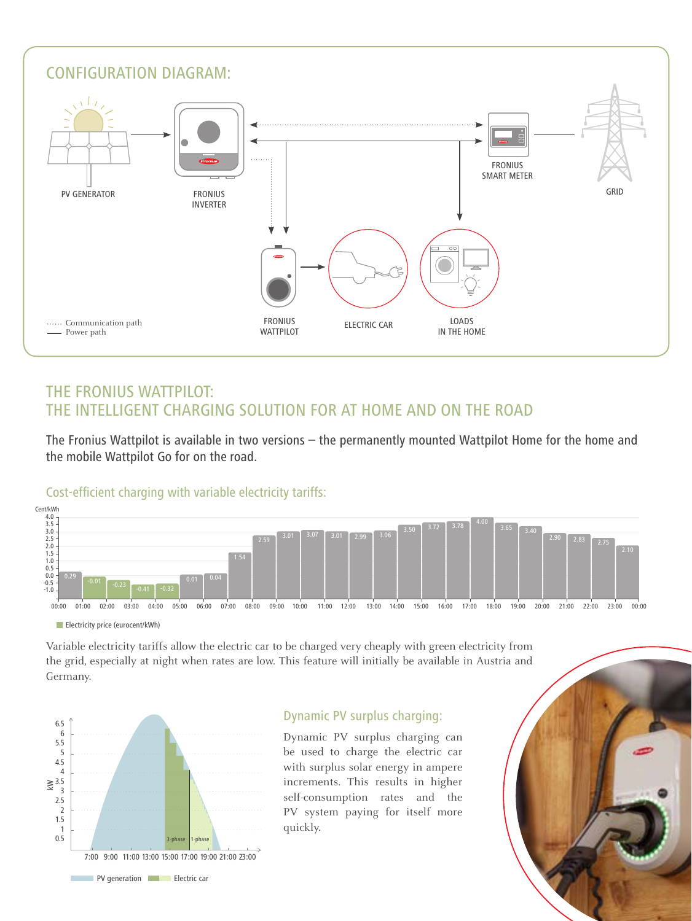

### THE FRONIUS WATTPILOT: THE INTELLIGENT CHARGING SOLUTION FOR AT HOME AND ON THE ROAD

The Fronius Wattpilot is available in two versions – the permanently mounted Wattpilot Home for the home and the mobile Wattpilot Go for on the road.

#### Cost-efficient charging with variable electricity tariffs:



**Electricity price (eurocent/kWh)** 

Variable electricity tariffs allow the electric car to be charged very cheaply with green electricity from the grid, especially at night when rates are low. This feature will initially be available in Austria and Germany.



#### Dynamic PV surplus charging:

Dynamic PV surplus charging can be used to charge the electric car with surplus solar energy in ampere increments. This results in higher self-consumption rates and the PV system paying for itself more quickly.

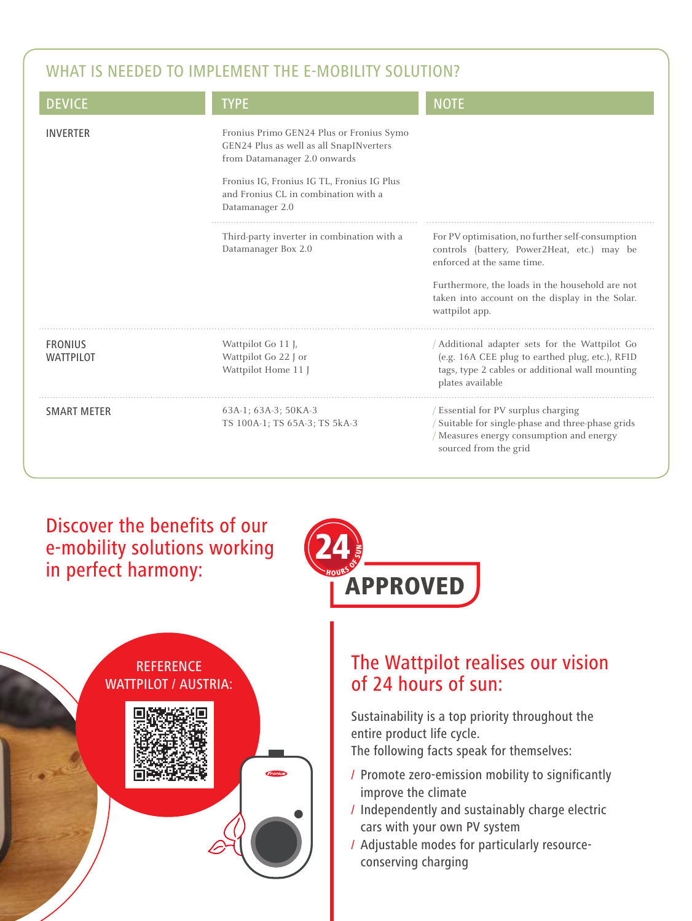## WHAT IS NEEDED TO IMPLEMENT THE E-MOBILITY SOLUTION?

| <b>DEVICE</b>                      | <b>TYPE</b>                                                                                                                                                                                                                  | <b>NOTE</b>                                                                                                                                                                                                                                           |
|------------------------------------|------------------------------------------------------------------------------------------------------------------------------------------------------------------------------------------------------------------------------|-------------------------------------------------------------------------------------------------------------------------------------------------------------------------------------------------------------------------------------------------------|
| <b>INVERTER</b>                    | Fronius Primo GEN24 Plus or Fronius Symo<br>GEN24 Plus as well as all SnapINverters<br>from Datamanager 2.0 onwards<br>Fronius IG, Fronius IG TL, Fronius IG Plus<br>and Fronius CL in combination with a<br>Datamanager 2.0 |                                                                                                                                                                                                                                                       |
|                                    | Third-party inverter in combination with a<br>Datamanager Box 2.0                                                                                                                                                            | For PV optimisation, no further self-consumption<br>controls (battery, Power2Heat, etc.) may be<br>enforced at the same time.<br>Furthermore, the loads in the household are not<br>taken into account on the display in the Solar.<br>wattpilot app. |
| <b>FRONIUS</b><br><b>WATTPILOT</b> | Wattpilot Go 11 J,<br>Wattpilot Go 22 J or<br>Wattpilot Home 11                                                                                                                                                              | Additional adapter sets for the Wattpilot Go<br>(e.g. 16A CEE plug to earthed plug, etc.), RFID<br>tags, type 2 cables or additional wall mounting<br>plates available                                                                                |
| <b>SMART METER</b>                 | 63A-1; 63A-3; 50KA-3<br>TS 100A-1; TS 65A-3; TS 5kA-3                                                                                                                                                                        | / Essential for PV surplus charging<br>Suitable for single-phase and three-phase grids<br>/ Measures energy consumption and energy<br>sourced from the grid                                                                                           |

## Discover the benefits of our e-mobility solutions working in perfect harmony:





# The Wattpilot realises our vision of 24 hours of sun:

Sustainability is a top priority throughout the entire product life cycle. The following facts speak for themselves:

- / Promote zero-emission mobility to significantly improve the climate
- / Independently and sustainably charge electric cars with your own PV system
- / Adjustable modes for particularly resourceconserving charging